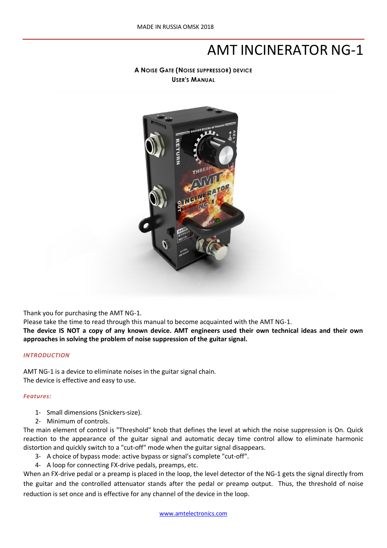# AMT INCINERATOR NG-1

**A NOISE GATE (NOISE SUPPRESSOR) DEVICE USER'S MANUAL** 



Thank you for purchasing the AMT NG-1.

Please take the time to read through this manual to become acquainted with the AMT NG-1.

**The device IS NOT a copy of any known device. AMT engineers used their own technical ideas and their own approaches in solving the problem of noise suppression of the guitar signal.**

### *INTRODUCTION*

AMT NG-1 is a device to eliminate noises in the guitar signal chain. The device is effective and easy to use.

### *Features:*

- 1- Small dimensions (Snickers-size).
- 2- Minimum of controls.

The main element of control is "Threshold" knob that defines the level at which the noise suppression is On. Quick reaction to the appearance of the guitar signal and automatic decay time control allow to eliminate harmonic distortion and quickly switch to a "cut-off" mode when the guitar signal disappears.

- 3- A choice of bypass mode: active bypass or signal's complete "cut-off".
- 4- A loop for connecting FX-drive pedals, preamps, etc.

When an FX-drive pedal or a preamp is placed in the loop, the level detector of the NG-1 gets the signal directly from the guitar and the controlled attenuator stands after the pedal or preamp output. Thus, the threshold of noise reduction is set once and is effective for any channel of the device in the loop.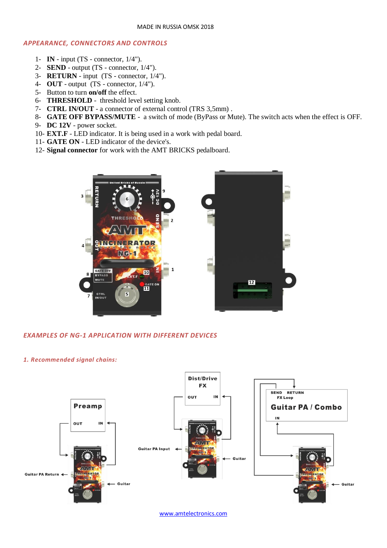### *APPEARANCE, CONNECTORS AND CONTROLS*

- 1- **IN** input (TS connector, 1/4").
- 2- **SEND** output (TS connector, 1/4").
- 3- **RETURN** input (TS connector, 1/4").
- 4- **OUT** output (TS connector, 1/4").
- 5- Button to turn **on/off** the effect.
- 6- **THRESHOLD** threshold level setting knob.
- 7- **CTRL IN/OUT** a connector of external control (TRS 3,5mm) .
- 8- **GATE OFF BYPASS/MUTE** a switch of mode (ByPass or Mute). The switch acts when the effect is OFF.
- 9- **DC 12V** power socket.
- 10- **EXT.F** LED indicator. It is being used in a work with pedal board.
- 11- **GATE ON** LED indicator of the device's.
- 12- **Signal connector** for work with the AMT BRICKS pedalboard.



### *EXAMPLES OF NG-1 APPLICATION WITH DIFFERENT DEVICES*

### *1. Recommended signal chains:*



[www.amtelectronics.com](http://www.amtelectronics.com/)